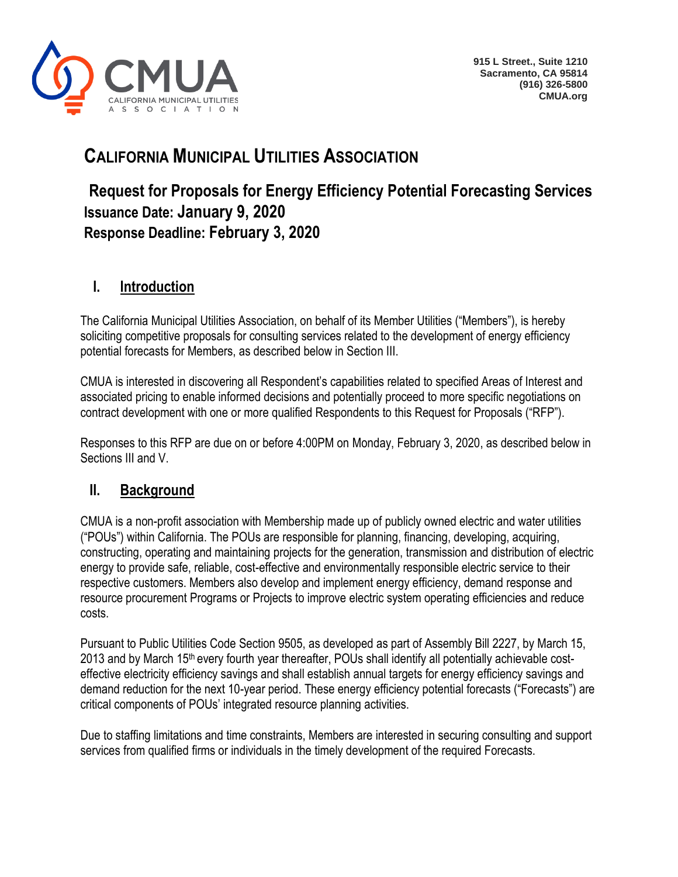

# **CALIFORNIA MUNICIPAL UTILITIES ASSOCIATION**

# **Request for Proposals for Energy Efficiency Potential Forecasting Services Issuance Date: January 9, 2020 Response Deadline: February 3, 2020**

# **I. Introduction**

The California Municipal Utilities Association, on behalf of its Member Utilities ("Members"), is hereby soliciting competitive proposals for consulting services related to the development of energy efficiency potential forecasts for Members, as described below in Section III.

CMUA is interested in discovering all Respondent's capabilities related to specified Areas of Interest and associated pricing to enable informed decisions and potentially proceed to more specific negotiations on contract development with one or more qualified Respondents to this Request for Proposals ("RFP").

Responses to this RFP are due on or before 4:00PM on Monday, February 3, 2020, as described below in Sections III and V.

# **II. Background**

CMUA is a non-profit association with Membership made up of publicly owned electric and water utilities ("POUs") within California. The POUs are responsible for planning, financing, developing, acquiring, constructing, operating and maintaining projects for the generation, transmission and distribution of electric energy to provide safe, reliable, cost-effective and environmentally responsible electric service to their respective customers. Members also develop and implement energy efficiency, demand response and resource procurement Programs or Projects to improve electric system operating efficiencies and reduce costs.

Pursuant to Public Utilities Code Section 9505, as developed as part of Assembly Bill 2227, by March 15, 2013 and by March 15<sup>th</sup> every fourth year thereafter, POUs shall identify all potentially achievable costeffective electricity efficiency savings and shall establish annual targets for energy efficiency savings and demand reduction for the next 10-year period. These energy efficiency potential forecasts ("Forecasts") are critical components of POUs' integrated resource planning activities.

Due to staffing limitations and time constraints, Members are interested in securing consulting and support services from qualified firms or individuals in the timely development of the required Forecasts.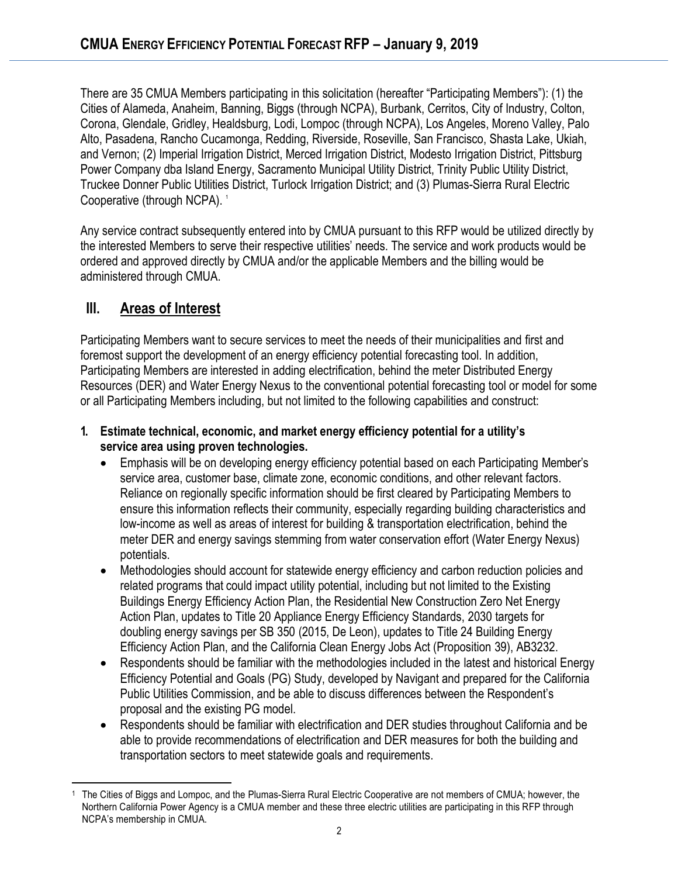There are 35 CMUA Members participating in this solicitation (hereafter "Participating Members"): (1) the Cities of Alameda, Anaheim, Banning, Biggs (through NCPA), Burbank, Cerritos, City of Industry, Colton, Corona, Glendale, Gridley, Healdsburg, Lodi, Lompoc (through NCPA), Los Angeles, Moreno Valley, Palo Alto, Pasadena, Rancho Cucamonga, Redding, Riverside, Roseville, San Francisco, Shasta Lake, Ukiah, and Vernon; (2) Imperial Irrigation District, Merced Irrigation District, Modesto Irrigation District, Pittsburg Power Company dba Island Energy, Sacramento Municipal Utility District, Trinity Public Utility District, Truckee Donner Public Utilities District, Turlock Irrigation District; and (3) Plumas-Sierra Rural Electric Cooperative (through NCPA).<sup>1</sup>

Any service contract subsequently entered into by CMUA pursuant to this RFP would be utilized directly by the interested Members to serve their respective utilities' needs. The service and work products would be ordered and approved directly by CMUA and/or the applicable Members and the billing would be administered through CMUA.

# **III. Areas of Interest**

Participating Members want to secure services to meet the needs of their municipalities and first and foremost support the development of an energy efficiency potential forecasting tool. In addition, Participating Members are interested in adding electrification, behind the meter Distributed Energy Resources (DER) and Water Energy Nexus to the conventional potential forecasting tool or model for some or all Participating Members including, but not limited to the following capabilities and construct:

#### **1. Estimate technical, economic, and market energy efficiency potential for a utility's service area using proven technologies.**

- Emphasis will be on developing energy efficiency potential based on each Participating Member's service area, customer base, climate zone, economic conditions, and other relevant factors. Reliance on regionally specific information should be first cleared by Participating Members to ensure this information reflects their community, especially regarding building characteristics and low-income as well as areas of interest for building & transportation electrification, behind the meter DER and energy savings stemming from water conservation effort (Water Energy Nexus) potentials.
- Methodologies should account for statewide energy efficiency and carbon reduction policies and related programs that could impact utility potential, including but not limited to the [Existing](https://ww2.energy.ca.gov/efficiency/existing_buildings/16-EBP-01/)  [Buildings Energy Efficiency Action Plan,](https://ww2.energy.ca.gov/efficiency/existing_buildings/16-EBP-01/) th[e Residential New Construction Zero Net Energy](https://www.cpuc.ca.gov/General.aspx?id=10740)  [Action Plan,](https://www.cpuc.ca.gov/General.aspx?id=10740) updates to Title 20 Appliance Energy Efficiency Standards, [2030 targets for](https://ww2.energy.ca.gov/sb350/doubling_efficiency_savings/)  [doubling energy savings per SB 350](https://ww2.energy.ca.gov/sb350/doubling_efficiency_savings/) (2015, De Leon), updates to Title 24 Building Energy Efficiency Action Plan, and the California Clean Energy Jobs Act (Proposition 39), AB3232.
- Respondents should be familiar with the methodologies included in the latest and historical Energy Efficiency Potential and Goals (PG) Study, developed by Navigant and prepared for the California Public Utilities Commission, and be able to discuss differences between the Respondent's proposal and the existing PG model.
- Respondents should be familiar with electrification and DER studies throughout California and be able to provide recommendations of electrification and DER measures for both the building and transportation sectors to meet statewide goals and requirements.

<sup>1</sup> The Cities of Biggs and Lompoc, and the Plumas-Sierra Rural Electric Cooperative are not members of CMUA; however, the Northern California Power Agency is a CMUA member and these three electric utilities are participating in this RFP through NCPA's membership in CMUA.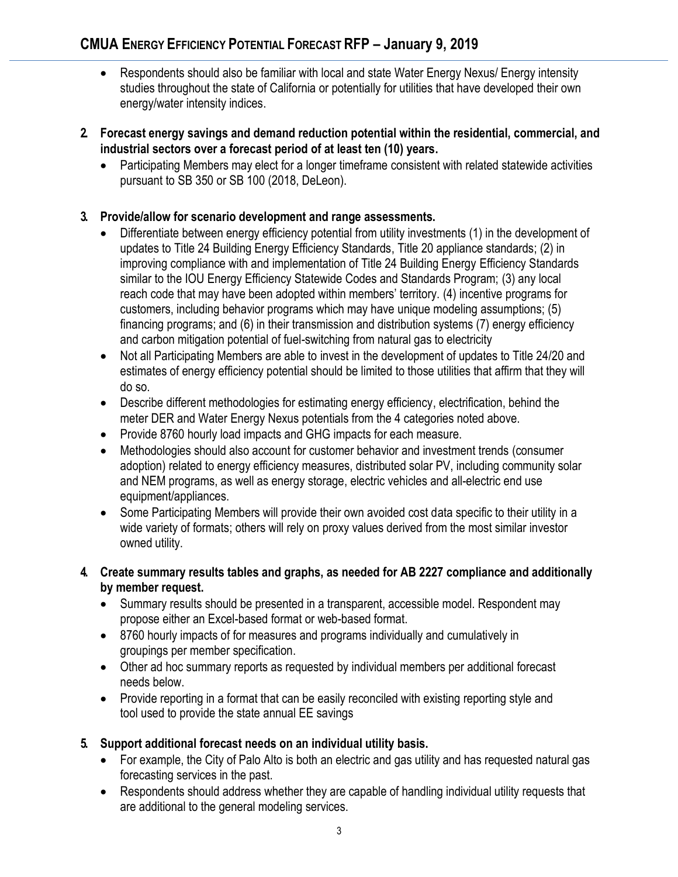- Respondents should also be familiar with local and state Water Energy Nexus/ Energy intensity studies throughout the state of California or potentially for utilities that have developed their own energy/water intensity indices.
- **2. Forecast energy savings and demand reduction potential within the residential, commercial, and industrial sectors over a forecast period of at least ten (10) years.**
	- Participating Members may elect for a longer timeframe consistent with related statewide activities pursuant to SB 350 or SB 100 (2018, DeLeon).

#### **3. Provide/allow for scenario development and range assessments.**

- Differentiate between energy efficiency potential from utility investments (1) in the development of updates to Title 24 Building Energy Efficiency Standards, Title 20 appliance standards; (2) in improving compliance with and implementation of Title 24 Building Energy Efficiency Standards similar to the IOU Energy Efficiency Statewide Codes and Standards Program; (3) any local reach code that may have been adopted within members' territory. (4) incentive programs for customers, including behavior programs which may have unique modeling assumptions; (5) financing programs; and (6) in their transmission and distribution systems (7) energy efficiency and carbon mitigation potential of fuel-switching from natural gas to electricity
- Not all Participating Members are able to invest in the development of updates to Title 24/20 and estimates of energy efficiency potential should be limited to those utilities that affirm that they will do so.
- Describe different methodologies for estimating energy efficiency, electrification, behind the meter DER and Water Energy Nexus potentials from the 4 categories noted above.
- Provide 8760 hourly load impacts and GHG impacts for each measure.
- Methodologies should also account for customer behavior and investment trends (consumer adoption) related to energy efficiency measures, distributed solar PV, including community solar and NEM programs, as well as energy storage, electric vehicles and all-electric end use equipment/appliances.
- Some Participating Members will provide their own avoided cost data specific to their utility in a wide variety of formats; others will rely on proxy values derived from the most similar investor owned utility.
- **4. Create summary results tables and graphs, as needed for AB 2227 compliance and additionally by member request.**
	- Summary results should be presented in a transparent, accessible model. Respondent may propose either an Excel-based format or web-based format.
	- 8760 hourly impacts of for measures and programs individually and cumulatively in groupings per member specification.
	- Other ad hoc summary reports as requested by individual members per additional forecast needs below.
	- Provide reporting in a format that can be easily reconciled with existing reporting style and tool used to provide the state annual EE savings

### **5. Support additional forecast needs on an individual utility basis.**

- For example, the City of Palo Alto is both an electric and gas utility and has requested natural gas forecasting services in the past.
- Respondents should address whether they are capable of handling individual utility requests that are additional to the general modeling services.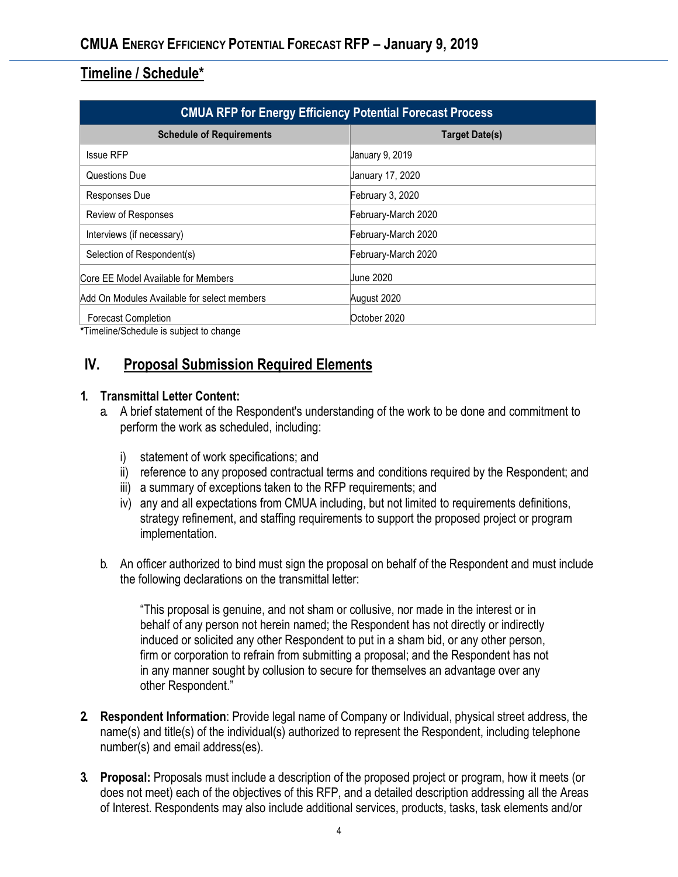## **Timeline / Schedule\***

| <b>CMUA RFP for Energy Efficiency Potential Forecast Process</b> |                       |
|------------------------------------------------------------------|-----------------------|
| <b>Schedule of Requirements</b>                                  | <b>Target Date(s)</b> |
| <b>Issue RFP</b>                                                 | January 9, 2019       |
| Questions Due                                                    | January 17, 2020      |
| Responses Due                                                    | February 3, 2020      |
| Review of Responses                                              | February-March 2020   |
| Interviews (if necessary)                                        | February-March 2020   |
| Selection of Respondent(s)                                       | February-March 2020   |
| Core EE Model Available for Members                              | Uune 2020             |
| Add On Modules Available for select members                      | August 2020           |
| <b>Forecast Completion</b>                                       | October 2020          |

**\***Timeline/Schedule is subject to change

## **IV. Proposal Submission Required Elements**

#### **1. Transmittal Letter Content:**

- a. A brief statement of the Respondent's understanding of the work to be done and commitment to perform the work as scheduled, including:
	- i) statement of work specifications; and
	- ii) reference to any proposed contractual terms and conditions required by the Respondent; and
	- iii) a summary of exceptions taken to the RFP requirements; and
	- iv) any and all expectations from CMUA including, but not limited to requirements definitions, strategy refinement, and staffing requirements to support the proposed project or program implementation.
- b. An officer authorized to bind must sign the proposal on behalf of the Respondent and must include the following declarations on the transmittal letter:

"This proposal is genuine, and not sham or collusive, nor made in the interest or in behalf of any person not herein named; the Respondent has not directly or indirectly induced or solicited any other Respondent to put in a sham bid, or any other person, firm or corporation to refrain from submitting a proposal; and the Respondent has not in any manner sought by collusion to secure for themselves an advantage over any other Respondent."

- **2. Respondent Information**: Provide legal name of Company or Individual, physical street address, the name(s) and title(s) of the individual(s) authorized to represent the Respondent, including telephone number(s) and email address(es).
- **3. Proposal:** Proposals must include a description of the proposed project or program, how it meets (or does not meet) each of the objectives of this RFP, and a detailed description addressing all the Areas of Interest. Respondents may also include additional services, products, tasks, task elements and/or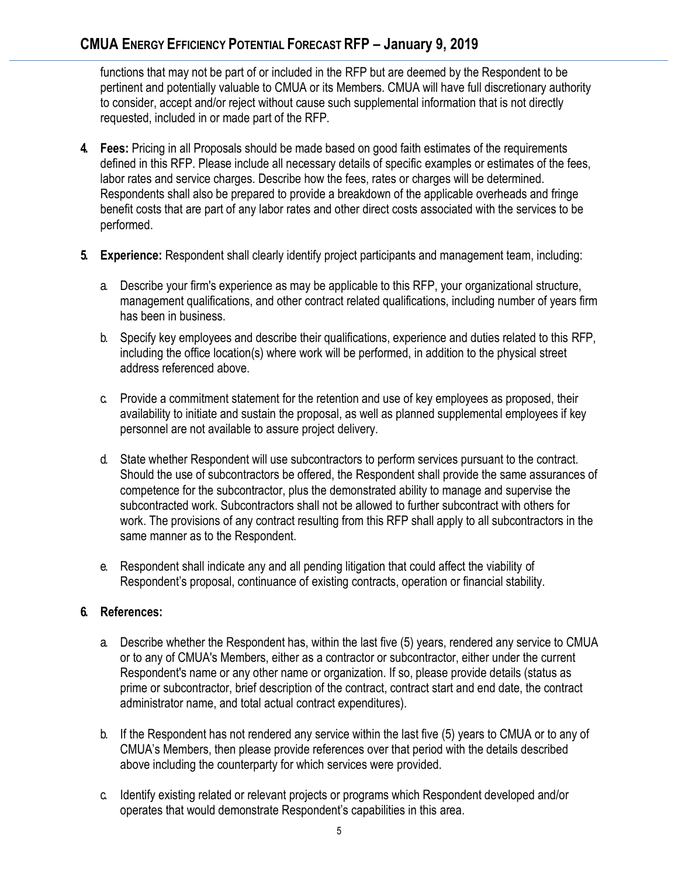functions that may not be part of or included in the RFP but are deemed by the Respondent to be pertinent and potentially valuable to CMUA or its Members. CMUA will have full discretionary authority to consider, accept and/or reject without cause such supplemental information that is not directly requested, included in or made part of the RFP.

- **4. Fees:** Pricing in all Proposals should be made based on good faith estimates of the requirements defined in this RFP. Please include all necessary details of specific examples or estimates of the fees, labor rates and service charges. Describe how the fees, rates or charges will be determined. Respondents shall also be prepared to provide a breakdown of the applicable overheads and fringe benefit costs that are part of any labor rates and other direct costs associated with the services to be performed.
- **5. Experience:** Respondent shall clearly identify project participants and management team, including:
	- a. Describe your firm's experience as may be applicable to this RFP, your organizational structure, management qualifications, and other contract related qualifications, including number of years firm has been in business.
	- b. Specify key employees and describe their qualifications, experience and duties related to this RFP, including the office location(s) where work will be performed, in addition to the physical street address referenced above.
	- c. Provide a commitment statement for the retention and use of key employees as proposed, their availability to initiate and sustain the proposal, as well as planned supplemental employees if key personnel are not available to assure project delivery.
	- d. State whether Respondent will use subcontractors to perform services pursuant to the contract. Should the use of subcontractors be offered, the Respondent shall provide the same assurances of competence for the subcontractor, plus the demonstrated ability to manage and supervise the subcontracted work. Subcontractors shall not be allowed to further subcontract with others for work. The provisions of any contract resulting from this RFP shall apply to all subcontractors in the same manner as to the Respondent.
	- e. Respondent shall indicate any and all pending litigation that could affect the viability of Respondent's proposal, continuance of existing contracts, operation or financial stability.

### **6. References:**

- a. Describe whether the Respondent has, within the last five (5) years, rendered any service to CMUA or to any of CMUA's Members, either as a contractor or subcontractor, either under the current Respondent's name or any other name or organization. If so, please provide details (status as prime or subcontractor, brief description of the contract, contract start and end date, the contract administrator name, and total actual contract expenditures).
- b. If the Respondent has not rendered any service within the last five (5) years to CMUA or to any of CMUA's Members, then please provide references over that period with the details described above including the counterparty for which services were provided.
- c. Identify existing related or relevant projects or programs which Respondent developed and/or operates that would demonstrate Respondent's capabilities in this area.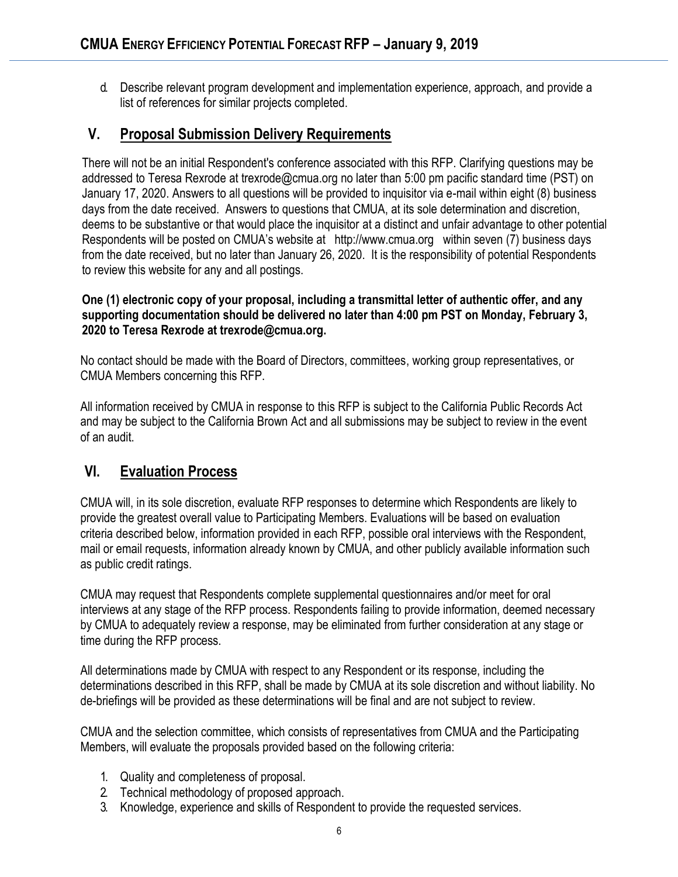d. Describe relevant program development and implementation experience, approach, and provide a list of references for similar projects completed.

## **V. Proposal Submission Delivery Requirements**

There will not be an initial Respondent's conference associated with this RFP. Clarifying questions may be addressed to Teresa Rexrode at [trexrode@cmua.org](mailto:fharris@cmua.org) no later than 5:00 pm pacific standard time (PST) on January 17, 2020. Answers to all questions will be provided to inquisitor via e-mail within eight (8) business days from the date received. Answers to questions that CMUA, at its sole determination and discretion, deems to be substantive or that would place the inquisitor at a distinct and unfair advantage to other potential Respondents will be posted on CMUA's website at http://www.cmua.org within seven (7) business days from the date received, but no later than January 26, 2020. It is the responsibility of potential Respondents to review this website for any and all postings.

**One (1) electronic copy of your proposal, including a transmittal letter of authentic offer, and any supporting documentation should be delivered no later than 4:00 pm PST on Monday, February 3, 2020 to Teresa Rexrode at trexrode@cmua.org.**

No contact should be made with the Board of Directors, committees, working group representatives, or CMUA Members concerning this RFP.

All information received by CMUA in response to this RFP is subject to the California Public Records Act and may be subject to the California Brown Act and all submissions may be subject to review in the event of an audit.

# **VI. Evaluation Process**

CMUA will, in its sole discretion, evaluate RFP responses to determine which Respondents are likely to provide the greatest overall value to Participating Members. Evaluations will be based on evaluation criteria described below, information provided in each RFP, possible oral interviews with the Respondent, mail or email requests, information already known by CMUA, and other publicly available information such as public credit ratings.

CMUA may request that Respondents complete supplemental questionnaires and/or meet for oral interviews at any stage of the RFP process. Respondents failing to provide information, deemed necessary by CMUA to adequately review a response, may be eliminated from further consideration at any stage or time during the RFP process.

All determinations made by CMUA with respect to any Respondent or its response, including the determinations described in this RFP, shall be made by CMUA at its sole discretion and without liability. No de-briefings will be provided as these determinations will be final and are not subject to review.

CMUA and the selection committee, which consists of representatives from CMUA and the Participating Members, will evaluate the proposals provided based on the following criteria:

- 1. Quality and completeness of proposal.
- 2. Technical methodology of proposed approach.
- 3. Knowledge, experience and skills of Respondent to provide the requested services.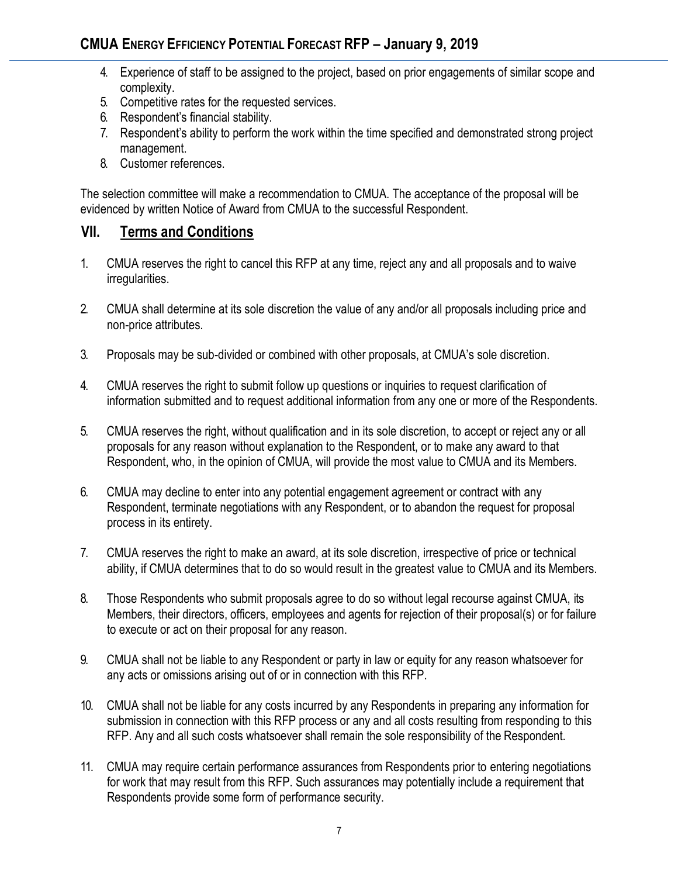- 4. Experience of staff to be assigned to the project, based on prior engagements of similar scope and complexity.
- 5. Competitive rates for the requested services.
- 6. Respondent's financial stability.
- 7. Respondent's ability to perform the work within the time specified and demonstrated strong project management.
- 8. Customer references.

The selection committee will make a recommendation to CMUA. The acceptance of the proposal will be evidenced by written Notice of Award from CMUA to the successful Respondent.

## **VII. Terms and Conditions**

- 1. CMUA reserves the right to cancel this RFP at any time, reject any and all proposals and to waive irregularities.
- 2. CMUA shall determine at its sole discretion the value of any and/or all proposals including price and non-price attributes.
- 3. Proposals may be sub-divided or combined with other proposals, at CMUA's sole discretion.
- 4. CMUA reserves the right to submit follow up questions or inquiries to request clarification of information submitted and to request additional information from any one or more of the Respondents.
- 5. CMUA reserves the right, without qualification and in its sole discretion, to accept or reject any or all proposals for any reason without explanation to the Respondent, or to make any award to that Respondent, who, in the opinion of CMUA, will provide the most value to CMUA and its Members.
- 6. CMUA may decline to enter into any potential engagement agreement or contract with any Respondent, terminate negotiations with any Respondent, or to abandon the request for proposal process in its entirety.
- 7. CMUA reserves the right to make an award, at its sole discretion, irrespective of price or technical ability, if CMUA determines that to do so would result in the greatest value to CMUA and its Members.
- 8. Those Respondents who submit proposals agree to do so without legal recourse against CMUA, its Members, their directors, officers, employees and agents for rejection of their proposal(s) or for failure to execute or act on their proposal for any reason.
- 9. CMUA shall not be liable to any Respondent or party in law or equity for any reason whatsoever for any acts or omissions arising out of or in connection with this RFP.
- 10. CMUA shall not be liable for any costs incurred by any Respondents in preparing any information for submission in connection with this RFP process or any and all costs resulting from responding to this RFP. Any and all such costs whatsoever shall remain the sole responsibility of the Respondent.
- 11. CMUA may require certain performance assurances from Respondents prior to entering negotiations for work that may result from this RFP. Such assurances may potentially include a requirement that Respondents provide some form of performance security.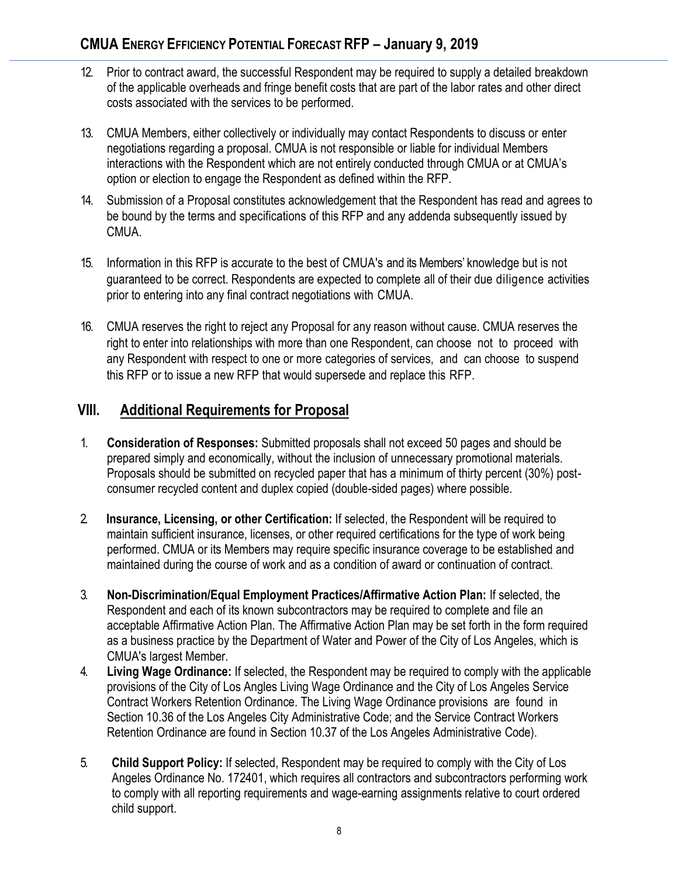- 12. Prior to contract award, the successful Respondent may be required to supply a detailed breakdown of the applicable overheads and fringe benefit costs that are part of the labor rates and other direct costs associated with the services to be performed.
- 13. CMUA Members, either collectively or individually may contact Respondents to discuss or enter negotiations regarding a proposal. CMUA is not responsible or liable for individual Members interactions with the Respondent which are not entirely conducted through CMUA or at CMUA's option or election to engage the Respondent as defined within the RFP.
- 14. Submission of a Proposal constitutes acknowledgement that the Respondent has read and agrees to be bound by the terms and specifications of this RFP and any addenda subsequently issued by CMUA.
- 15. Information in this RFP is accurate to the best of CMUA's and its Members' knowledge but is not guaranteed to be correct. Respondents are expected to complete all of their due diligence activities prior to entering into any final contract negotiations with CMUA.
- 16. CMUA reserves the right to reject any Proposal for any reason without cause. CMUA reserves the right to enter into relationships with more than one Respondent, can choose not to proceed with any Respondent with respect to one or more categories of services, and can choose to suspend this RFP or to issue a new RFP that would supersede and replace this RFP.

# **VIII. Additional Requirements for Proposal**

- 1. **Consideration of Responses:** Submitted proposals shall not exceed 50 pages and should be prepared simply and economically, without the inclusion of unnecessary promotional materials. Proposals should be submitted on recycled paper that has a minimum of thirty percent (30%) postconsumer recycled content and duplex copied (double-sided pages) where possible.
- 2. **Insurance, Licensing, or other Certification:** If selected, the Respondent will be required to maintain sufficient insurance, licenses, or other required certifications for the type of work being performed. CMUA or its Members may require specific insurance coverage to be established and maintained during the course of work and as a condition of award or continuation of contract.
- 3. **Non-Discrimination/Equal Employment Practices/Affirmative Action Plan:** If selected, the Respondent and each of its known subcontractors may be required to complete and file an acceptable Affirmative Action Plan. The Affirmative Action Plan may be set forth in the form required as a business practice by the Department of Water and Power of the City of Los Angeles, which is CMUA's largest Member.
- 4. **Living Wage Ordinance:** If selected, the Respondent may be required to comply with the applicable provisions of the City of Los Angles Living Wage Ordinance and the City of Los Angeles Service Contract Workers Retention Ordinance. The Living Wage Ordinance provisions are found in Section 10.36 of the Los Angeles City Administrative Code; and the Service Contract Workers Retention Ordinance are found in Section 10.37 of the Los Angeles Administrative Code).
- 5. **Child Support Policy:** If selected, Respondent may be required to comply with the City of Los Angeles Ordinance No. 172401, which requires all contractors and subcontractors performing work to comply with all reporting requirements and wage-earning assignments relative to court ordered child support.